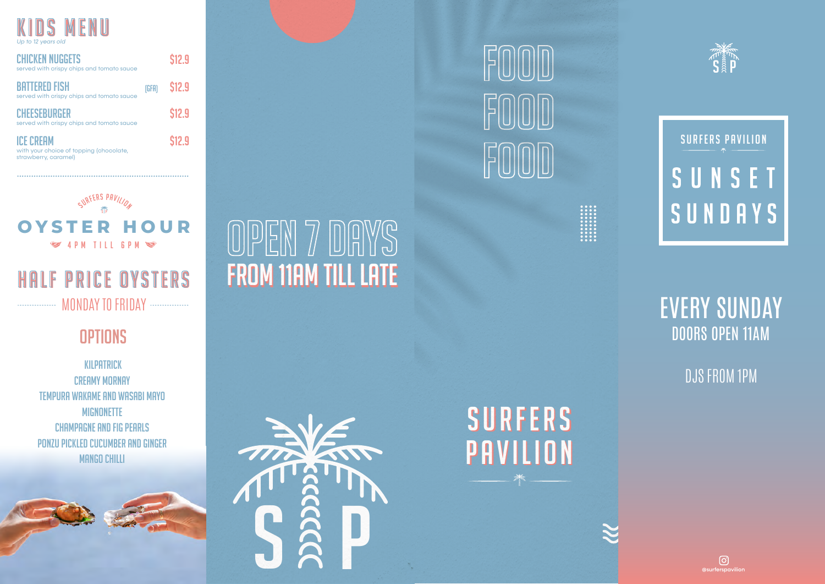

strawberry, caramel)

| <b>CHICKEN NUGGETS</b><br>served with crispy chips and tomato sauce |       | \$12.9 |
|---------------------------------------------------------------------|-------|--------|
| <b>BATTERED FISH</b><br>served with crispy chips and tomato sauce   | (GFA) | \$12.9 |
| <b>CHEESEBURGER</b><br>served with crispy chips and tomato sauce    |       | \$12.9 |
| <b>ICE CREAM</b><br>with your choice of topping (chocolate,         |       | \$12.9 |



## ................. MONDAY TO FRIDAY ................. HALF PRICE OYSTERS

## **OPTIONS**

 Kilpatrick **CREAMY MORNAY** Tempura wakame and wasabi mayo Mignonette Champagne and fig pearls Ponzu pickled cucumber and ginger **MANGO CHILLI** 



<u>||אן -ן</u>



**FROM 11AM TILL LATE** 

 $\mathbb{Z}/\mathbb{Z}$ 

 $\frac{1}{2}$ 



SURFERS SURFERS

PAVILION PAVILION



SURFERS PAVILION SUNSET SUNDAYS

## EVERY SUNDAY DOORS OPEN 11AM

DJS FROM 1PM

 $\odot$ @surferspavilion